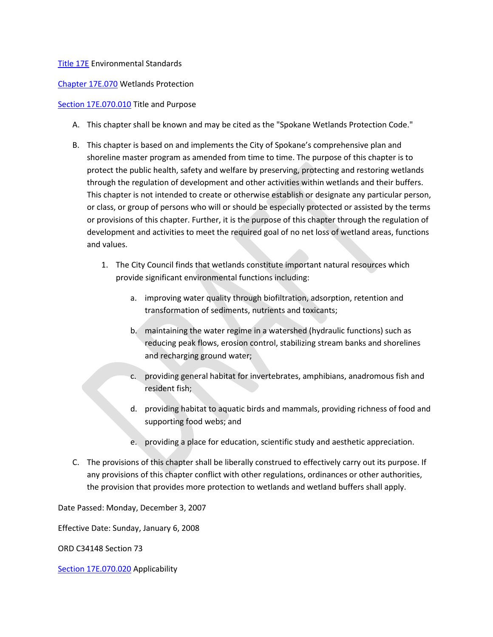#### [Title 17E](https://my.spokanecity.org/smc/?Title=17E) Environmental Standards

[Chapter 17E.070](https://my.spokanecity.org/smc/?Chapter=17E.070) Wetlands Protection

#### [Section 17E.070.010](https://my.spokanecity.org/smc/?Section=17E.070.010) Title and Purpose

- A. This chapter shall be known and may be cited as the "Spokane Wetlands Protection Code."
- B. This chapter is based on and implements the City of Spokane's comprehensive plan and shoreline master program as amended from time to time. The purpose of this chapter is to protect the public health, safety and welfare by preserving, protecting and restoring wetlands through the regulation of development and other activities within wetlands and their buffers. This chapter is not intended to create or otherwise establish or designate any particular person, or class, or group of persons who will or should be especially protected or assisted by the terms or provisions of this chapter. Further, it is the purpose of this chapter through the regulation of development and activities to meet the required goal of no net loss of wetland areas, functions and values.
	- 1. The City Council finds that wetlands constitute important natural resources which provide significant environmental functions including:
		- a. improving water quality through biofiltration, adsorption, retention and transformation of sediments, nutrients and toxicants;
		- b. maintaining the water regime in a watershed (hydraulic functions) such as reducing peak flows, erosion control, stabilizing stream banks and shorelines and recharging ground water;
		- c. providing general habitat for invertebrates, amphibians, anadromous fish and resident fish;
		- d. providing habitat to aquatic birds and mammals, providing richness of food and supporting food webs; and
		- e. providing a place for education, scientific study and aesthetic appreciation.
- C. The provisions of this chapter shall be liberally construed to effectively carry out its purpose. If any provisions of this chapter conflict with other regulations, ordinances or other authorities, the provision that provides more protection to wetlands and wetland buffers shall apply.

Date Passed: Monday, December 3, 2007

Effective Date: Sunday, January 6, 2008

ORD C34148 Section 73

[Section 17E.070.020](https://my.spokanecity.org/smc/?Section=17E.070.020) Applicability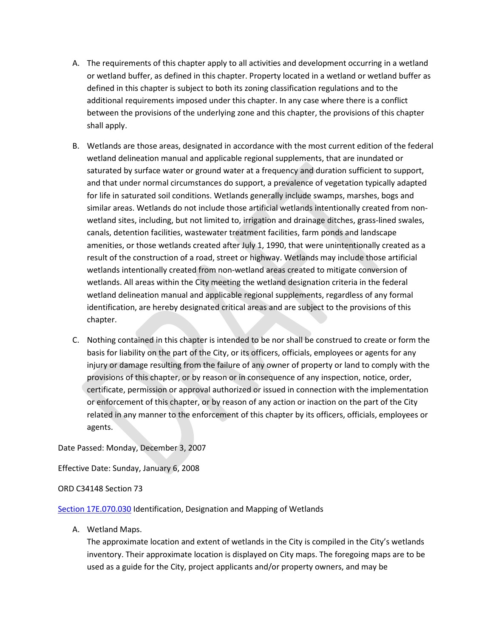- A. The requirements of this chapter apply to all activities and development occurring in a wetland or wetland buffer, as defined in this chapter. Property located in a wetland or wetland buffer as defined in this chapter is subject to both its zoning classification regulations and to the additional requirements imposed under this chapter. In any case where there is a conflict between the provisions of the underlying zone and this chapter, the provisions of this chapter shall apply.
- B. Wetlands are those areas, designated in accordance with the most current edition of the federal wetland delineation manual and applicable regional supplements, that are inundated or saturated by surface water or ground water at a frequency and duration sufficient to support, and that under normal circumstances do support, a prevalence of vegetation typically adapted for life in saturated soil conditions. Wetlands generally include swamps, marshes, bogs and similar areas. Wetlands do not include those artificial wetlands intentionally created from nonwetland sites, including, but not limited to, irrigation and drainage ditches, grass-lined swales, canals, detention facilities, wastewater treatment facilities, farm ponds and landscape amenities, or those wetlands created after July 1, 1990, that were unintentionally created as a result of the construction of a road, street or highway. Wetlands may include those artificial wetlands intentionally created from non-wetland areas created to mitigate conversion of wetlands. All areas within the City meeting the wetland designation criteria in the federal wetland delineation manual and applicable regional supplements, regardless of any formal identification, are hereby designated critical areas and are subject to the provisions of this chapter.
- C. Nothing contained in this chapter is intended to be nor shall be construed to create or form the basis for liability on the part of the City, or its officers, officials, employees or agents for any injury or damage resulting from the failure of any owner of property or land to comply with the provisions of this chapter, or by reason or in consequence of any inspection, notice, order, certificate, permission or approval authorized or issued in connection with the implementation or enforcement of this chapter, or by reason of any action or inaction on the part of the City related in any manner to the enforcement of this chapter by its officers, officials, employees or agents.

Date Passed: Monday, December 3, 2007

Effective Date: Sunday, January 6, 2008

#### ORD C34148 Section 73

[Section 17E.070.030](https://my.spokanecity.org/smc/?Section=17E.070.030) Identification, Designation and Mapping of Wetlands

A. Wetland Maps.

The approximate location and extent of wetlands in the City is compiled in the City's wetlands inventory. Their approximate location is displayed on City maps. The foregoing maps are to be used as a guide for the City, project applicants and/or property owners, and may be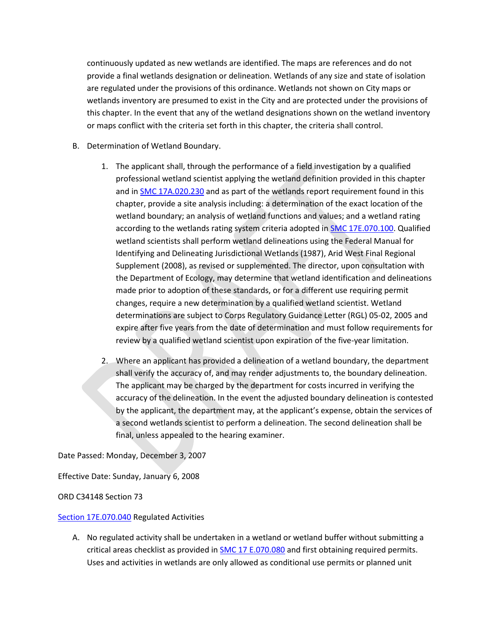continuously updated as new wetlands are identified. The maps are references and do not provide a final wetlands designation or delineation. Wetlands of any size and state of isolation are regulated under the provisions of this ordinance. Wetlands not shown on City maps or wetlands inventory are presumed to exist in the City and are protected under the provisions of this chapter. In the event that any of the wetland designations shown on the wetland inventory or maps conflict with the criteria set forth in this chapter, the criteria shall control.

- B. Determination of Wetland Boundary.
	- 1. The applicant shall, through the performance of a field investigation by a qualified professional wetland scientist applying the wetland definition provided in this chapter and in [SMC 17A.020.230](https://my.spokanecity.org/smc/?Section=17A.020.230) and as part of the wetlands report requirement found in this chapter, provide a site analysis including: a determination of the exact location of the wetland boundary; an analysis of wetland functions and values; and a wetland rating according to the wetlands rating system criteria adopted i[n SMC 17E.070.100.](https://my.spokanecity.org/smc/?Section=17E.070.100) Qualified wetland scientists shall perform wetland delineations using the Federal Manual for Identifying and Delineating Jurisdictional Wetlands (1987), Arid West Final Regional Supplement (2008), as revised or supplemented. The director, upon consultation with the Department of Ecology, may determine that wetland identification and delineations made prior to adoption of these standards, or for a different use requiring permit changes, require a new determination by a qualified wetland scientist. Wetland determinations are subject to Corps Regulatory Guidance Letter (RGL) 05-02, 2005 and expire after five years from the date of determination and must follow requirements for review by a qualified wetland scientist upon expiration of the five-year limitation.
	- 2. Where an applicant has provided a delineation of a wetland boundary, the department shall verify the accuracy of, and may render adjustments to, the boundary delineation. The applicant may be charged by the department for costs incurred in verifying the accuracy of the delineation. In the event the adjusted boundary delineation is contested by the applicant, the department may, at the applicant's expense, obtain the services of a second wetlands scientist to perform a delineation. The second delineation shall be final, unless appealed to the hearing examiner.

Date Passed: Monday, December 3, 2007

Effective Date: Sunday, January 6, 2008

ORD C34148 Section 73

[Section 17E.070.040](https://my.spokanecity.org/smc/?Section=17E.070.040) Regulated Activities

A. No regulated activity shall be undertaken in a wetland or wetland buffer without submitting a critical areas checklist as provided in [SMC 17 E.070.080](https://my.spokanecity.org/smc/?Section=17E.070.080) and first obtaining required permits. Uses and activities in wetlands are only allowed as conditional use permits or planned unit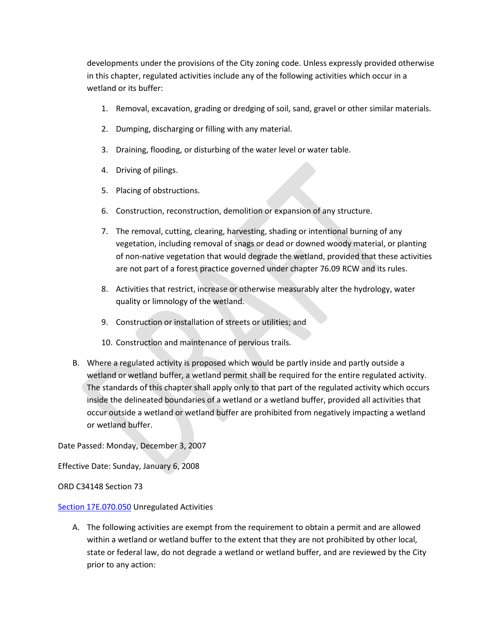developments under the provisions of the City zoning code. Unless expressly provided otherwise in this chapter, regulated activities include any of the following activities which occur in a wetland or its buffer:

- 1. Removal, excavation, grading or dredging of soil, sand, gravel or other similar materials.
- 2. Dumping, discharging or filling with any material.
- 3. Draining, flooding, or disturbing of the water level or water table.
- 4. Driving of pilings.
- 5. Placing of obstructions.
- 6. Construction, reconstruction, demolition or expansion of any structure.
- 7. The removal, cutting, clearing, harvesting, shading or intentional burning of any vegetation, including removal of snags or dead or downed woody material, or planting of non-native vegetation that would degrade the wetland, provided that these activities are not part of a forest practice governed under chapter 76.09 RCW and its rules.
- 8. Activities that restrict, increase or otherwise measurably alter the hydrology, water quality or limnology of the wetland.
- 9. Construction or installation of streets or utilities; and
- 10. Construction and maintenance of pervious trails.
- B. Where a regulated activity is proposed which would be partly inside and partly outside a wetland or wetland buffer, a wetland permit shall be required for the entire regulated activity. The standards of this chapter shall apply only to that part of the regulated activity which occurs inside the delineated boundaries of a wetland or a wetland buffer, provided all activities that occur outside a wetland or wetland buffer are prohibited from negatively impacting a wetland or wetland buffer.

Date Passed: Monday, December 3, 2007

Effective Date: Sunday, January 6, 2008

ORD C34148 Section 73

#### [Section 17E.070.050](https://my.spokanecity.org/smc/?Section=17E.070.050) Unregulated Activities

A. The following activities are exempt from the requirement to obtain a permit and are allowed within a wetland or wetland buffer to the extent that they are not prohibited by other local, state or federal law, do not degrade a wetland or wetland buffer, and are reviewed by the City prior to any action: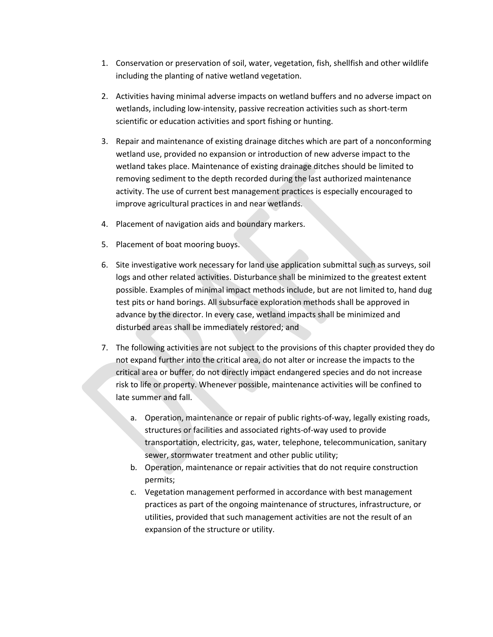- 1. Conservation or preservation of soil, water, vegetation, fish, shellfish and other wildlife including the planting of native wetland vegetation.
- 2. Activities having minimal adverse impacts on wetland buffers and no adverse impact on wetlands, including low-intensity, passive recreation activities such as short-term scientific or education activities and sport fishing or hunting.
- 3. Repair and maintenance of existing drainage ditches which are part of a nonconforming wetland use, provided no expansion or introduction of new adverse impact to the wetland takes place. Maintenance of existing drainage ditches should be limited to removing sediment to the depth recorded during the last authorized maintenance activity. The use of current best management practices is especially encouraged to improve agricultural practices in and near wetlands.
- 4. Placement of navigation aids and boundary markers.
- 5. Placement of boat mooring buoys.
- 6. Site investigative work necessary for land use application submittal such as surveys, soil logs and other related activities. Disturbance shall be minimized to the greatest extent possible. Examples of minimal impact methods include, but are not limited to, hand dug test pits or hand borings. All subsurface exploration methods shall be approved in advance by the director. In every case, wetland impacts shall be minimized and disturbed areas shall be immediately restored; and
- 7. The following activities are not subject to the provisions of this chapter provided they do not expand further into the critical area, do not alter or increase the impacts to the critical area or buffer, do not directly impact endangered species and do not increase risk to life or property. Whenever possible, maintenance activities will be confined to late summer and fall.
	- a. Operation, maintenance or repair of public rights-of-way, legally existing roads, structures or facilities and associated rights-of-way used to provide transportation, electricity, gas, water, telephone, telecommunication, sanitary sewer, stormwater treatment and other public utility;
	- b. Operation, maintenance or repair activities that do not require construction permits;
	- c. Vegetation management performed in accordance with best management practices as part of the ongoing maintenance of structures, infrastructure, or utilities, provided that such management activities are not the result of an expansion of the structure or utility.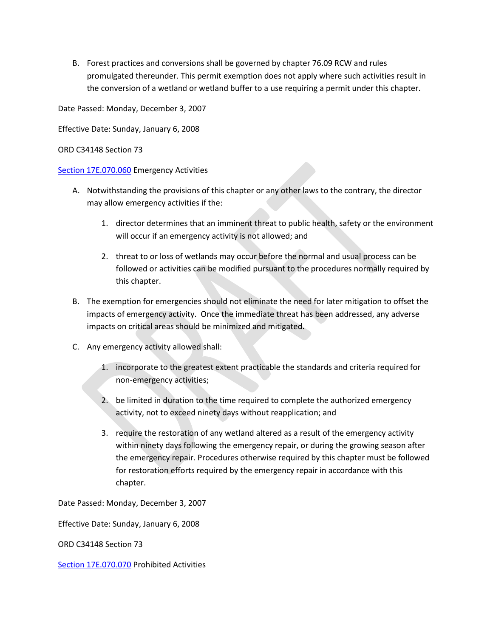B. Forest practices and conversions shall be governed by chapter 76.09 RCW and rules promulgated thereunder. This permit exemption does not apply where such activities result in the conversion of a wetland or wetland buffer to a use requiring a permit under this chapter.

Date Passed: Monday, December 3, 2007

Effective Date: Sunday, January 6, 2008

### ORD C34148 Section 73

### [Section 17E.070.060](https://my.spokanecity.org/smc/?Section=17E.070.060) Emergency Activities

- A. Notwithstanding the provisions of this chapter or any other laws to the contrary, the director may allow emergency activities if the:
	- 1. director determines that an imminent threat to public health, safety or the environment will occur if an emergency activity is not allowed; and
	- 2. threat to or loss of wetlands may occur before the normal and usual process can be followed or activities can be modified pursuant to the procedures normally required by this chapter.
- B. The exemption for emergencies should not eliminate the need for later mitigation to offset the impacts of emergency activity. Once the immediate threat has been addressed, any adverse impacts on critical areas should be minimized and mitigated.
- C. Any emergency activity allowed shall:
	- 1. incorporate to the greatest extent practicable the standards and criteria required for non-emergency activities;
	- 2. be limited in duration to the time required to complete the authorized emergency activity, not to exceed ninety days without reapplication; and
	- 3. require the restoration of any wetland altered as a result of the emergency activity within ninety days following the emergency repair, or during the growing season after the emergency repair. Procedures otherwise required by this chapter must be followed for restoration efforts required by the emergency repair in accordance with this chapter.

Date Passed: Monday, December 3, 2007

Effective Date: Sunday, January 6, 2008

ORD C34148 Section 73

[Section 17E.070.070](https://my.spokanecity.org/smc/?Section=17E.070.070) Prohibited Activities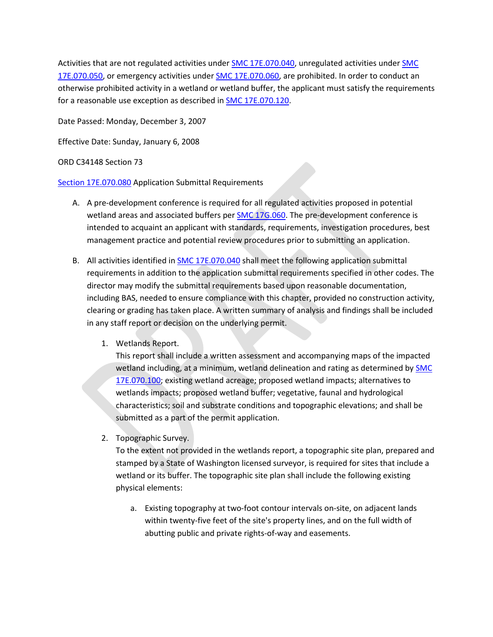Activities that are not regulated activities unde[r SMC 17E.070.040,](https://my.spokanecity.org/smc/?Section=17E.070.040) unregulated activities unde[r SMC](https://my.spokanecity.org/smc/?Section=17E.070.050)  [17E.070.050,](https://my.spokanecity.org/smc/?Section=17E.070.050) or emergency activities under **SMC 17E.070.060**, are prohibited. In order to conduct an otherwise prohibited activity in a wetland or wetland buffer, the applicant must satisfy the requirements for a reasonable use exception as described in **SMC 17E.070.120.** 

Date Passed: Monday, December 3, 2007

Effective Date: Sunday, January 6, 2008

ORD C34148 Section 73

[Section 17E.070.080](https://my.spokanecity.org/smc/?Section=17E.070.080) Application Submittal Requirements

- A. A pre-development conference is required for all regulated activities proposed in potential wetland areas and associated buffers per **SMC 17G.060**. The pre-development conference is intended to acquaint an applicant with standards, requirements, investigation procedures, best management practice and potential review procedures prior to submitting an application.
- B. All activities identified in [SMC 17E.070.040](https://my.spokanecity.org/smc/?Section=17E.070.040) shall meet the following application submittal requirements in addition to the application submittal requirements specified in other codes. The director may modify the submittal requirements based upon reasonable documentation, including BAS, needed to ensure compliance with this chapter, provided no construction activity, clearing or grading has taken place. A written summary of analysis and findings shall be included in any staff report or decision on the underlying permit.
	- 1. Wetlands Report.

This report shall include a written assessment and accompanying maps of the impacted wetland including, at a minimum, wetland delineation and rating as determined by [SMC](https://my.spokanecity.org/smc/?Section=17E.070.100)  [17E.070.100;](https://my.spokanecity.org/smc/?Section=17E.070.100) existing wetland acreage; proposed wetland impacts; alternatives to wetlands impacts; proposed wetland buffer; vegetative, faunal and hydrological characteristics; soil and substrate conditions and topographic elevations; and shall be submitted as a part of the permit application.

2. Topographic Survey.

To the extent not provided in the wetlands report, a topographic site plan, prepared and stamped by a State of Washington licensed surveyor, is required for sites that include a wetland or its buffer. The topographic site plan shall include the following existing physical elements:

a. Existing topography at two-foot contour intervals on-site, on adjacent lands within twenty-five feet of the site's property lines, and on the full width of abutting public and private rights-of-way and easements.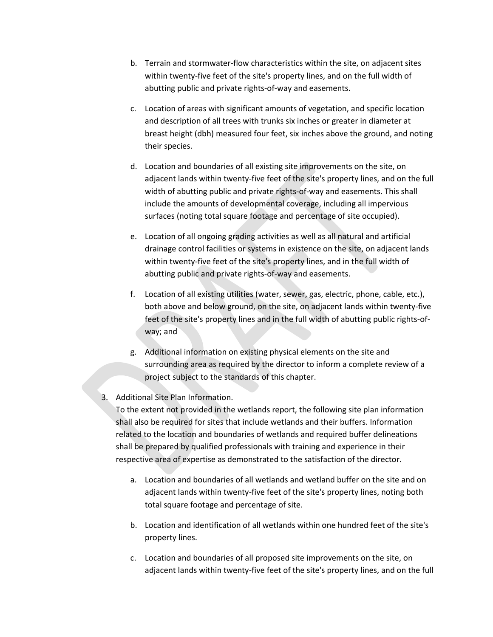- b. Terrain and stormwater-flow characteristics within the site, on adjacent sites within twenty-five feet of the site's property lines, and on the full width of abutting public and private rights-of-way and easements.
- c. Location of areas with significant amounts of vegetation, and specific location and description of all trees with trunks six inches or greater in diameter at breast height (dbh) measured four feet, six inches above the ground, and noting their species.
- d. Location and boundaries of all existing site improvements on the site, on adjacent lands within twenty-five feet of the site's property lines, and on the full width of abutting public and private rights-of-way and easements. This shall include the amounts of developmental coverage, including all impervious surfaces (noting total square footage and percentage of site occupied).
- e. Location of all ongoing grading activities as well as all natural and artificial drainage control facilities or systems in existence on the site, on adjacent lands within twenty-five feet of the site's property lines, and in the full width of abutting public and private rights-of-way and easements.
- f. Location of all existing utilities (water, sewer, gas, electric, phone, cable, etc.), both above and below ground, on the site, on adjacent lands within twenty-five feet of the site's property lines and in the full width of abutting public rights-ofway; and
- g. Additional information on existing physical elements on the site and surrounding area as required by the director to inform a complete review of a project subject to the standards of this chapter.
- 3. Additional Site Plan Information.

To the extent not provided in the wetlands report, the following site plan information shall also be required for sites that include wetlands and their buffers. Information related to the location and boundaries of wetlands and required buffer delineations shall be prepared by qualified professionals with training and experience in their respective area of expertise as demonstrated to the satisfaction of the director.

- a. Location and boundaries of all wetlands and wetland buffer on the site and on adjacent lands within twenty-five feet of the site's property lines, noting both total square footage and percentage of site.
- b. Location and identification of all wetlands within one hundred feet of the site's property lines.
- c. Location and boundaries of all proposed site improvements on the site, on adjacent lands within twenty-five feet of the site's property lines, and on the full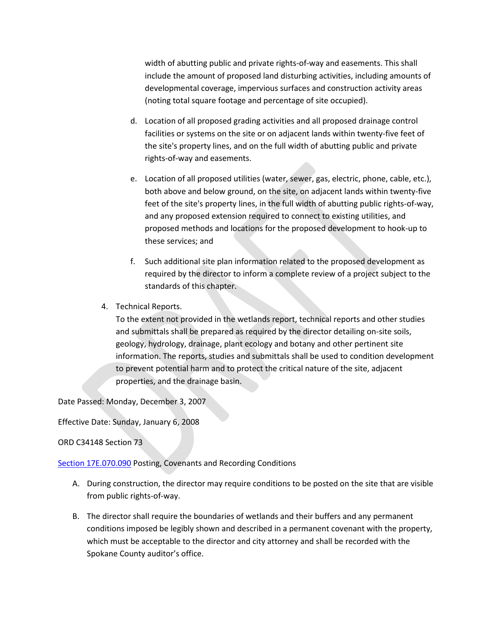width of abutting public and private rights-of-way and easements. This shall include the amount of proposed land disturbing activities, including amounts of developmental coverage, impervious surfaces and construction activity areas (noting total square footage and percentage of site occupied).

- d. Location of all proposed grading activities and all proposed drainage control facilities or systems on the site or on adjacent lands within twenty-five feet of the site's property lines, and on the full width of abutting public and private rights-of-way and easements.
- e. Location of all proposed utilities (water, sewer, gas, electric, phone, cable, etc.), both above and below ground, on the site, on adjacent lands within twenty-five feet of the site's property lines, in the full width of abutting public rights-of-way, and any proposed extension required to connect to existing utilities, and proposed methods and locations for the proposed development to hook-up to these services; and
- f. Such additional site plan information related to the proposed development as required by the director to inform a complete review of a project subject to the standards of this chapter.
- 4. Technical Reports.

To the extent not provided in the wetlands report, technical reports and other studies and submittals shall be prepared as required by the director detailing on-site soils, geology, hydrology, drainage, plant ecology and botany and other pertinent site information. The reports, studies and submittals shall be used to condition development to prevent potential harm and to protect the critical nature of the site, adjacent properties, and the drainage basin.

Date Passed: Monday, December 3, 2007

Effective Date: Sunday, January 6, 2008

ORD C34148 Section 73

[Section 17E.070.090](https://my.spokanecity.org/smc/?Section=17E.070.090) Posting, Covenants and Recording Conditions

- A. During construction, the director may require conditions to be posted on the site that are visible from public rights-of-way.
- B. The director shall require the boundaries of wetlands and their buffers and any permanent conditions imposed be legibly shown and described in a permanent covenant with the property, which must be acceptable to the director and city attorney and shall be recorded with the Spokane County auditor's office.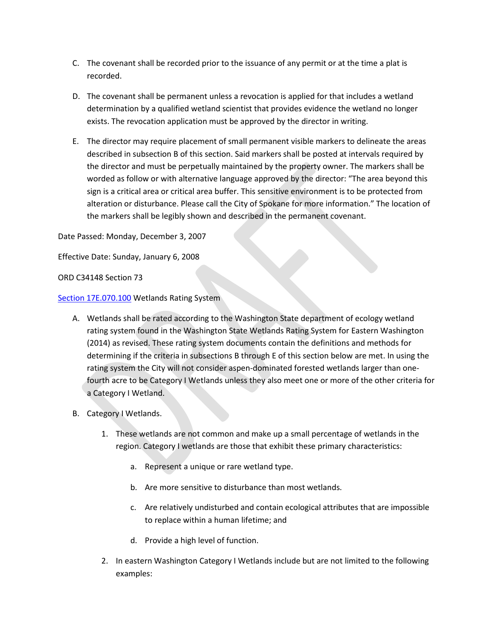- C. The covenant shall be recorded prior to the issuance of any permit or at the time a plat is recorded.
- D. The covenant shall be permanent unless a revocation is applied for that includes a wetland determination by a qualified wetland scientist that provides evidence the wetland no longer exists. The revocation application must be approved by the director in writing.
- E. The director may require placement of small permanent visible markers to delineate the areas described in subsection B of this section. Said markers shall be posted at intervals required by the director and must be perpetually maintained by the property owner. The markers shall be worded as follow or with alternative language approved by the director: "The area beyond this sign is a critical area or critical area buffer. This sensitive environment is to be protected from alteration or disturbance. Please call the City of Spokane for more information." The location of the markers shall be legibly shown and described in the permanent covenant.

Date Passed: Monday, December 3, 2007

Effective Date: Sunday, January 6, 2008

ORD C34148 Section 73

[Section 17E.070.100](https://my.spokanecity.org/smc/?Section=17E.070.100) Wetlands Rating System

- A. Wetlands shall be rated according to the Washington State department of ecology wetland rating system found in the Washington State Wetlands Rating System for Eastern Washington (2014) as revised. These rating system documents contain the definitions and methods for determining if the criteria in subsections B through E of this section below are met. In using the rating system the City will not consider aspen-dominated forested wetlands larger than onefourth acre to be Category I Wetlands unless they also meet one or more of the other criteria for a Category I Wetland.
- B. Category I Wetlands.
	- 1. These wetlands are not common and make up a small percentage of wetlands in the region. Category I wetlands are those that exhibit these primary characteristics:
		- a. Represent a unique or rare wetland type.
		- b. Are more sensitive to disturbance than most wetlands.
		- c. Are relatively undisturbed and contain ecological attributes that are impossible to replace within a human lifetime; and
		- d. Provide a high level of function.
	- 2. In eastern Washington Category I Wetlands include but are not limited to the following examples: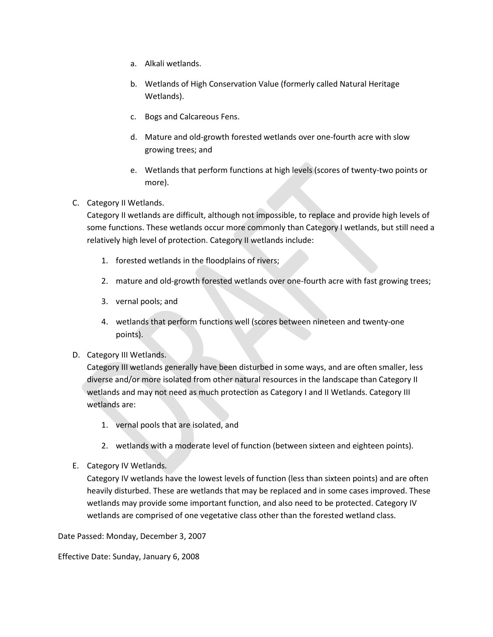- a. Alkali wetlands.
- b. Wetlands of High Conservation Value (formerly called Natural Heritage Wetlands).
- c. Bogs and Calcareous Fens.
- d. Mature and old-growth forested wetlands over one-fourth acre with slow growing trees; and
- e. Wetlands that perform functions at high levels (scores of twenty-two points or more).
- C. Category II Wetlands.

Category II wetlands are difficult, although not impossible, to replace and provide high levels of some functions. These wetlands occur more commonly than Category I wetlands, but still need a relatively high level of protection. Category II wetlands include:

- 1. forested wetlands in the floodplains of rivers;
- 2. mature and old-growth forested wetlands over one-fourth acre with fast growing trees;
- 3. vernal pools; and
- 4. wetlands that perform functions well (scores between nineteen and twenty-one points).
- D. Category III Wetlands.

Category III wetlands generally have been disturbed in some ways, and are often smaller, less diverse and/or more isolated from other natural resources in the landscape than Category II wetlands and may not need as much protection as Category I and II Wetlands. Category III wetlands are:

- 1. vernal pools that are isolated, and
- 2. wetlands with a moderate level of function (between sixteen and eighteen points).
- E. Category IV Wetlands.

Category IV wetlands have the lowest levels of function (less than sixteen points) and are often heavily disturbed. These are wetlands that may be replaced and in some cases improved. These wetlands may provide some important function, and also need to be protected. Category IV wetlands are comprised of one vegetative class other than the forested wetland class.

Date Passed: Monday, December 3, 2007

Effective Date: Sunday, January 6, 2008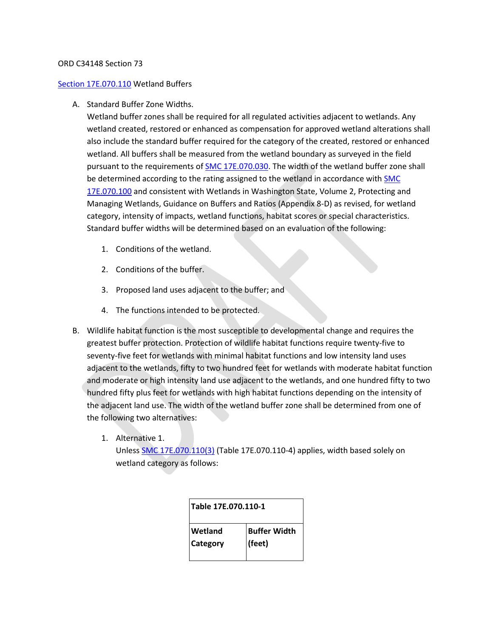#### ORD C34148 Section 73

#### [Section 17E.070.110](https://my.spokanecity.org/smc/?Section=17E.070.110) Wetland Buffers

A. Standard Buffer Zone Widths.

Wetland buffer zones shall be required for all regulated activities adjacent to wetlands. Any wetland created, restored or enhanced as compensation for approved wetland alterations shall also include the standard buffer required for the category of the created, restored or enhanced wetland. All buffers shall be measured from the wetland boundary as surveyed in the field pursuant to the requirements of [SMC 17E.070.030.](https://my.spokanecity.org/smc/?Section=17E.070.030) The width of the wetland buffer zone shall be determined according to the rating assigned to the wetland in accordance with SMC [17E.070.100](https://my.spokanecity.org/smc/?Section=17E.070.100) and consistent with Wetlands in Washington State, Volume 2, Protecting and Managing Wetlands, Guidance on Buffers and Ratios (Appendix 8-D) as revised, for wetland category, intensity of impacts, wetland functions, habitat scores or special characteristics. Standard buffer widths will be determined based on an evaluation of the following:

- 1. Conditions of the wetland.
- 2. Conditions of the buffer.
- 3. Proposed land uses adjacent to the buffer; and
- 4. The functions intended to be protected.
- B. Wildlife habitat function is the most susceptible to developmental change and requires the greatest buffer protection. Protection of wildlife habitat functions require twenty-five to seventy-five feet for wetlands with minimal habitat functions and low intensity land uses adjacent to the wetlands, fifty to two hundred feet for wetlands with moderate habitat function and moderate or high intensity land use adjacent to the wetlands, and one hundred fifty to two hundred fifty plus feet for wetlands with high habitat functions depending on the intensity of the adjacent land use. The width of the wetland buffer zone shall be determined from one of the following two alternatives:
	- 1. Alternative 1.

Unless [SMC 17E.070.110\(3\)](https://my.spokanecity.org/smc/?Section=17E.070.110) (Table 17E.070.110-4) applies, width based solely on wetland category as follows:

| Table 17E.070.110-1 |                     |  |  |
|---------------------|---------------------|--|--|
| <b>Wetland</b>      | <b>Buffer Width</b> |  |  |
| <b>Category</b>     | (feet)              |  |  |
|                     |                     |  |  |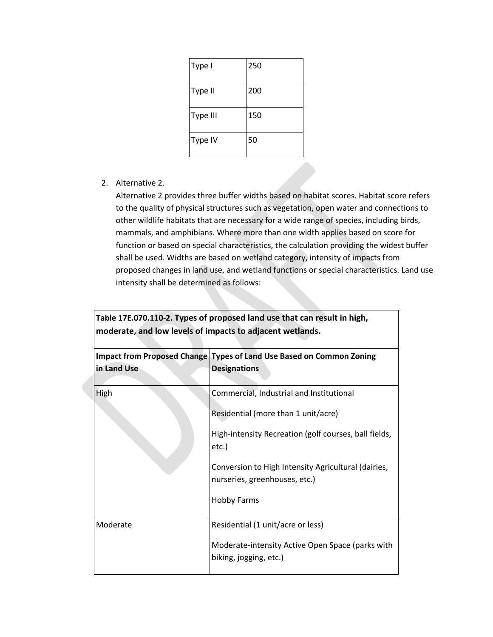| Type I   | 250 |
|----------|-----|
| Type II  | 200 |
| Type III | 150 |
| Type IV  | 50  |

2. Alternative 2.

Alternative 2 provides three buffer widths based on habitat scores. Habitat score refers to the quality of physical structures such as vegetation, open water and connections to other wildlife habitats that are necessary for a wide range of species, including birds, mammals, and amphibians. Where more than one width applies based on score for function or based on special characteristics, the calculation providing the widest buffer shall be used. Widths are based on wetland category, intensity of impacts from proposed changes in land use, and wetland functions or special characteristics. Land use intensity shall be determined as follows:

| Table 17E.070.110-2. Types of proposed land use that can result in high,<br>moderate, and low levels of impacts to adjacent wetlands. |                                                                                             |  |  |  |
|---------------------------------------------------------------------------------------------------------------------------------------|---------------------------------------------------------------------------------------------|--|--|--|
| in Land Use                                                                                                                           | Impact from Proposed Change Types of Land Use Based on Common Zoning<br><b>Designations</b> |  |  |  |
| High                                                                                                                                  | Commercial, Industrial and Institutional<br>Residential (more than 1 unit/acre)             |  |  |  |
|                                                                                                                                       | High-intensity Recreation (golf courses, ball fields,<br>etc.)                              |  |  |  |
|                                                                                                                                       | Conversion to High Intensity Agricultural (dairies,<br>nurseries, greenhouses, etc.)        |  |  |  |
|                                                                                                                                       | <b>Hobby Farms</b>                                                                          |  |  |  |
| Moderate                                                                                                                              | Residential (1 unit/acre or less)                                                           |  |  |  |
|                                                                                                                                       | Moderate-intensity Active Open Space (parks with<br>biking, jogging, etc.)                  |  |  |  |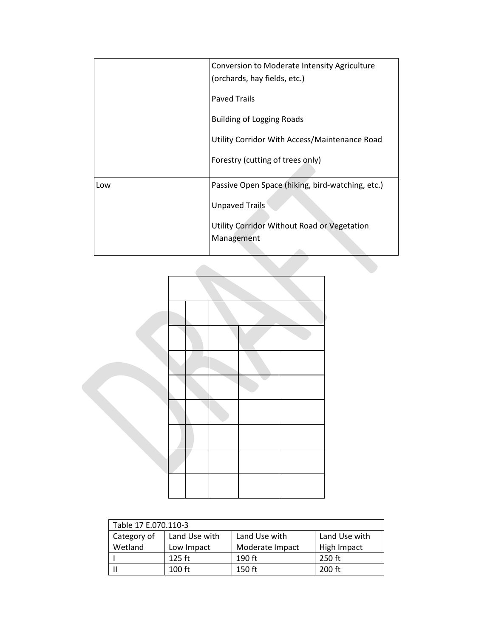|     | Conversion to Moderate Intensity Agriculture<br>(orchards, hay fields, etc.) |  |  |
|-----|------------------------------------------------------------------------------|--|--|
|     | <b>Paved Trails</b>                                                          |  |  |
|     | <b>Building of Logging Roads</b>                                             |  |  |
|     | Utility Corridor With Access/Maintenance Road                                |  |  |
|     | Forestry (cutting of trees only)                                             |  |  |
| Low | Passive Open Space (hiking, bird-watching, etc.)                             |  |  |
|     | <b>Unpaved Trails</b>                                                        |  |  |
|     | Utility Corridor Without Road or Vegetation<br>Management                    |  |  |



| Table 17 E.070.110-3 |               |                 |               |  |
|----------------------|---------------|-----------------|---------------|--|
| Category of          | Land Use with | Land Use with   | Land Use with |  |
| Wetland              | Low Impact    | Moderate Impact | High Impact   |  |
|                      | $125$ ft      | $190$ ft        | 250 ft        |  |
|                      | $100$ ft      | $150$ ft        | $200$ ft      |  |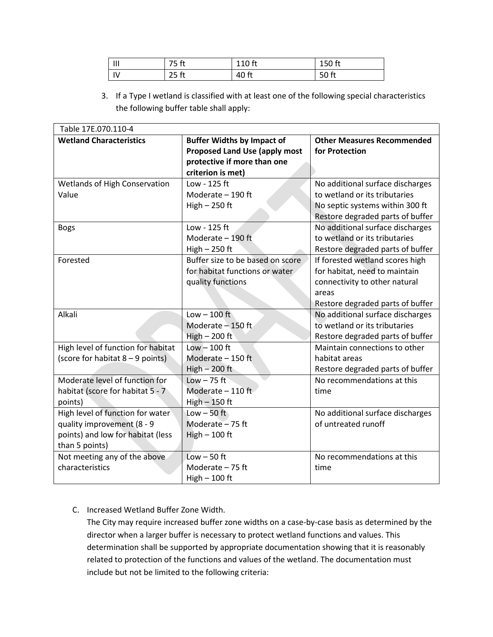| $\mathsf{III}$<br> | 75 ft            | 110 ft | 150 ft |
|--------------------|------------------|--------|--------|
| IV                 | 25 <sub>ft</sub> | 40 ft  | 50 ft  |

3. If a Type I wetland is classified with at least one of the following special characteristics the following buffer table shall apply:

| Table 17E.070.110-4                |                                      |                                   |  |  |  |
|------------------------------------|--------------------------------------|-----------------------------------|--|--|--|
| <b>Wetland Characteristics</b>     | <b>Buffer Widths by Impact of</b>    | <b>Other Measures Recommended</b> |  |  |  |
|                                    | <b>Proposed Land Use (apply most</b> | for Protection                    |  |  |  |
|                                    | protective if more than one          |                                   |  |  |  |
|                                    | criterion is met)                    |                                   |  |  |  |
| Wetlands of High Conservation      | Low - 125 ft                         | No additional surface discharges  |  |  |  |
| Value                              | Moderate - 190 ft                    | to wetland or its tributaries     |  |  |  |
|                                    | $High - 250 ft$                      | No septic systems within 300 ft   |  |  |  |
|                                    |                                      | Restore degraded parts of buffer  |  |  |  |
| <b>Bogs</b>                        | Low - 125 ft                         | No additional surface discharges  |  |  |  |
|                                    | Moderate - 190 ft                    | to wetland or its tributaries     |  |  |  |
|                                    | High $-250$ ft                       | Restore degraded parts of buffer  |  |  |  |
| Forested                           | Buffer size to be based on score     | If forested wetland scores high   |  |  |  |
|                                    | for habitat functions or water       | for habitat, need to maintain     |  |  |  |
|                                    | quality functions                    | connectivity to other natural     |  |  |  |
|                                    |                                      | areas                             |  |  |  |
|                                    |                                      | Restore degraded parts of buffer  |  |  |  |
| Alkali                             | Low $-100$ ft                        | No additional surface discharges  |  |  |  |
|                                    | Moderate - 150 ft                    | to wetland or its tributaries     |  |  |  |
|                                    | High $-200$ ft                       | Restore degraded parts of buffer  |  |  |  |
| High level of function for habitat | $Low - 100$ ft                       | Maintain connections to other     |  |  |  |
| (score for habitat 8 - 9 points)   | Moderate - 150 ft                    | habitat areas                     |  |  |  |
|                                    | $High - 200 ft$                      | Restore degraded parts of buffer  |  |  |  |
| Moderate level of function for     | $Low - 75$ ft                        | No recommendations at this        |  |  |  |
| habitat (score for habitat 5 - 7   | Moderate - 110 ft                    | time                              |  |  |  |
| points)                            | $High - 150$ ft                      |                                   |  |  |  |
| High level of function for water   | Low $-50$ ft                         | No additional surface discharges  |  |  |  |
| quality improvement (8 - 9         | Moderate - 75 ft                     | of untreated runoff               |  |  |  |
| points) and low for habitat (less  | $High - 100$ ft                      |                                   |  |  |  |
| than 5 points)                     |                                      |                                   |  |  |  |
| Not meeting any of the above       | $Low - 50$ ft                        | No recommendations at this        |  |  |  |
| characteristics                    | Moderate - 75 ft                     | time                              |  |  |  |
|                                    | $High - 100$ ft                      |                                   |  |  |  |

# C. Increased Wetland Buffer Zone Width.

The City may require increased buffer zone widths on a case-by-case basis as determined by the director when a larger buffer is necessary to protect wetland functions and values. This determination shall be supported by appropriate documentation showing that it is reasonably related to protection of the functions and values of the wetland. The documentation must include but not be limited to the following criteria: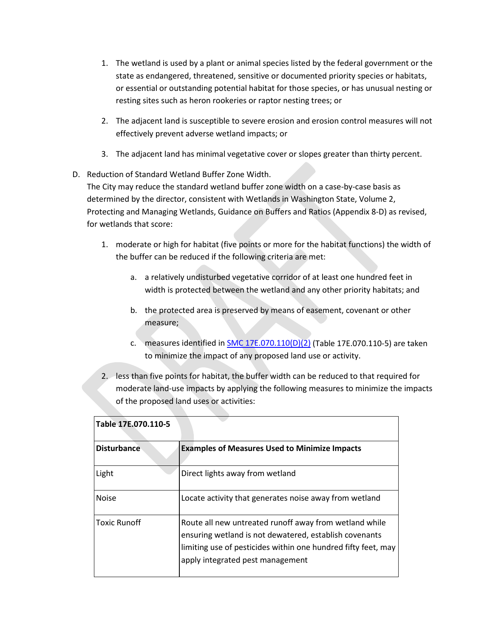- 1. The wetland is used by a plant or animal species listed by the federal government or the state as endangered, threatened, sensitive or documented priority species or habitats, or essential or outstanding potential habitat for those species, or has unusual nesting or resting sites such as heron rookeries or raptor nesting trees; or
- 2. The adjacent land is susceptible to severe erosion and erosion control measures will not effectively prevent adverse wetland impacts; or
- 3. The adjacent land has minimal vegetative cover or slopes greater than thirty percent.

# D. Reduction of Standard Wetland Buffer Zone Width.

The City may reduce the standard wetland buffer zone width on a case-by-case basis as determined by the director, consistent with Wetlands in Washington State, Volume 2, Protecting and Managing Wetlands, Guidance on Buffers and Ratios (Appendix 8-D) as revised, for wetlands that score:

- 1. moderate or high for habitat (five points or more for the habitat functions) the width of the buffer can be reduced if the following criteria are met:
	- a. a relatively undisturbed vegetative corridor of at least one hundred feet in width is protected between the wetland and any other priority habitats; and
	- b. the protected area is preserved by means of easement, covenant or other measure;
	- c. measures identified in [SMC 17E.070.110\(D\)\(2\)](https://my.spokanecity.org/smc/?Section=17E.070.110) (Table 17E.070.110-5) are taken to minimize the impact of any proposed land use or activity.
- 2. less than five points for habitat, the buffer width can be reduced to that required for moderate land-use impacts by applying the following measures to minimize the impacts of the proposed land uses or activities:

| Table 17E.070.110-5 |                                                                                                                                                                                                                       |
|---------------------|-----------------------------------------------------------------------------------------------------------------------------------------------------------------------------------------------------------------------|
| <b>Disturbance</b>  | <b>Examples of Measures Used to Minimize Impacts</b>                                                                                                                                                                  |
| Light               | Direct lights away from wetland                                                                                                                                                                                       |
| <b>Noise</b>        | Locate activity that generates noise away from wetland                                                                                                                                                                |
| <b>Toxic Runoff</b> | Route all new untreated runoff away from wetland while<br>ensuring wetland is not dewatered, establish covenants<br>limiting use of pesticides within one hundred fifty feet, may<br>apply integrated pest management |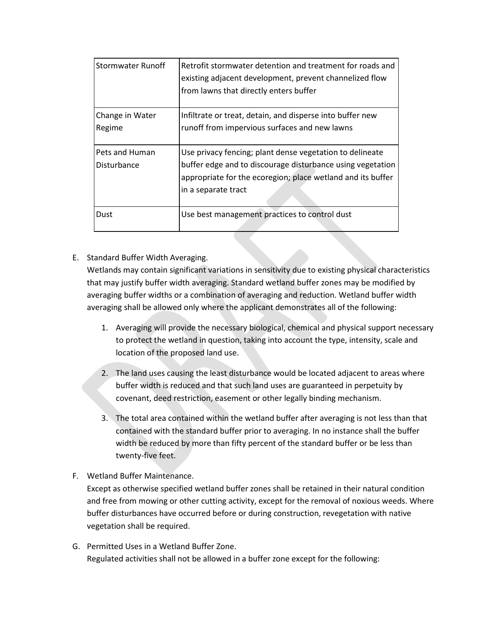| Stormwater Runoff         | Retrofit stormwater detention and treatment for roads and<br>existing adjacent development, prevent channelized flow<br>from lawns that directly enters buffer |
|---------------------------|----------------------------------------------------------------------------------------------------------------------------------------------------------------|
| Change in Water<br>Regime | Infiltrate or treat, detain, and disperse into buffer new<br>runoff from impervious surfaces and new lawns                                                     |
| Pets and Human            | Use privacy fencing; plant dense vegetation to delineate                                                                                                       |
| Disturbance               | buffer edge and to discourage disturbance using vegetation<br>appropriate for the ecoregion; place wetland and its buffer<br>in a separate tract               |
|                           |                                                                                                                                                                |
| Dust                      | Use best management practices to control dust                                                                                                                  |

# E. Standard Buffer Width Averaging.

Wetlands may contain significant variations in sensitivity due to existing physical characteristics that may justify buffer width averaging. Standard wetland buffer zones may be modified by averaging buffer widths or a combination of averaging and reduction. Wetland buffer width averaging shall be allowed only where the applicant demonstrates all of the following:

- 1. Averaging will provide the necessary biological, chemical and physical support necessary to protect the wetland in question, taking into account the type, intensity, scale and location of the proposed land use.
- 2. The land uses causing the least disturbance would be located adjacent to areas where buffer width is reduced and that such land uses are guaranteed in perpetuity by covenant, deed restriction, easement or other legally binding mechanism.
- 3. The total area contained within the wetland buffer after averaging is not less than that contained with the standard buffer prior to averaging. In no instance shall the buffer width be reduced by more than fifty percent of the standard buffer or be less than twenty-five feet.
- F. Wetland Buffer Maintenance.

Except as otherwise specified wetland buffer zones shall be retained in their natural condition and free from mowing or other cutting activity, except for the removal of noxious weeds. Where buffer disturbances have occurred before or during construction, revegetation with native vegetation shall be required.

G. Permitted Uses in a Wetland Buffer Zone. Regulated activities shall not be allowed in a buffer zone except for the following: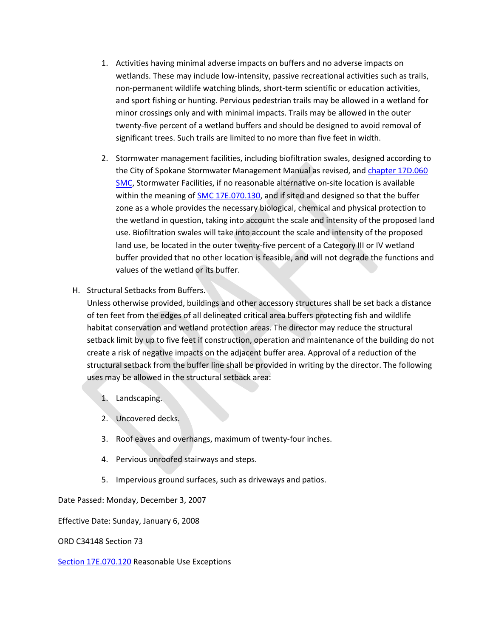- 1. Activities having minimal adverse impacts on buffers and no adverse impacts on wetlands. These may include low-intensity, passive recreational activities such as trails, non-permanent wildlife watching blinds, short-term scientific or education activities, and sport fishing or hunting. Pervious pedestrian trails may be allowed in a wetland for minor crossings only and with minimal impacts. Trails may be allowed in the outer twenty-five percent of a wetland buffers and should be designed to avoid removal of significant trees. Such trails are limited to no more than five feet in width.
- 2. Stormwater management facilities, including biofiltration swales, designed according to the City of Spokane Stormwater Management Manual as revised, and [chapter 17D.060](https://my.spokanecity.org/smc/?Chapter=17D.060)  [SMC,](https://my.spokanecity.org/smc/?Chapter=17D.060) Stormwater Facilities, if no reasonable alternative on-site location is available within the meaning of **SMC 17E.070.130**, and if sited and designed so that the buffer zone as a whole provides the necessary biological, chemical and physical protection to the wetland in question, taking into account the scale and intensity of the proposed land use. Biofiltration swales will take into account the scale and intensity of the proposed land use, be located in the outer twenty-five percent of a Category III or IV wetland buffer provided that no other location is feasible, and will not degrade the functions and values of the wetland or its buffer.
- H. Structural Setbacks from Buffers.

Unless otherwise provided, buildings and other accessory structures shall be set back a distance of ten feet from the edges of all delineated critical area buffers protecting fish and wildlife habitat conservation and wetland protection areas. The director may reduce the structural setback limit by up to five feet if construction, operation and maintenance of the building do not create a risk of negative impacts on the adjacent buffer area. Approval of a reduction of the structural setback from the buffer line shall be provided in writing by the director. The following uses may be allowed in the structural setback area:

- 1. Landscaping.
- 2. Uncovered decks.
- 3. Roof eaves and overhangs, maximum of twenty-four inches.
- 4. Pervious unroofed stairways and steps.
- 5. Impervious ground surfaces, such as driveways and patios.

Date Passed: Monday, December 3, 2007

Effective Date: Sunday, January 6, 2008

ORD C34148 Section 73

[Section 17E.070.120](https://my.spokanecity.org/smc/?Section=17E.070.120) Reasonable Use Exceptions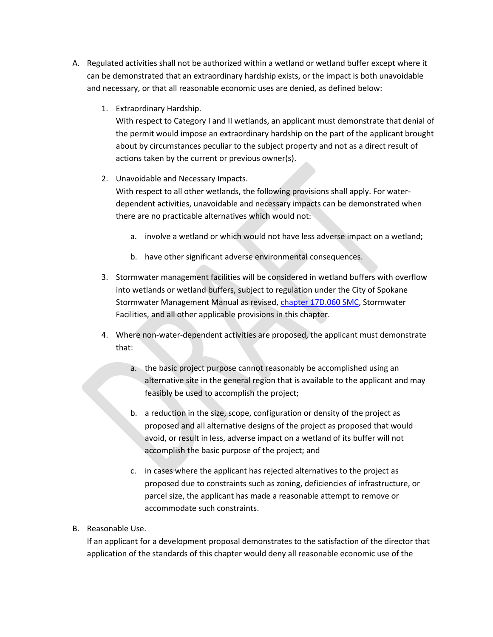- A. Regulated activities shall not be authorized within a wetland or wetland buffer except where it can be demonstrated that an extraordinary hardship exists, or the impact is both unavoidable and necessary, or that all reasonable economic uses are denied, as defined below:
	- 1. Extraordinary Hardship.

With respect to Category I and II wetlands, an applicant must demonstrate that denial of the permit would impose an extraordinary hardship on the part of the applicant brought about by circumstances peculiar to the subject property and not as a direct result of actions taken by the current or previous owner(s).

2. Unavoidable and Necessary Impacts.

With respect to all other wetlands, the following provisions shall apply. For waterdependent activities, unavoidable and necessary impacts can be demonstrated when there are no practicable alternatives which would not:

- a. involve a wetland or which would not have less adverse impact on a wetland;
- b. have other significant adverse environmental consequences.
- 3. Stormwater management facilities will be considered in wetland buffers with overflow into wetlands or wetland buffers, subject to regulation under the City of Spokane Stormwater Management Manual as revised[, chapter 17D.060 SMC,](https://my.spokanecity.org/smc/?Chapter=17D.060) Stormwater Facilities, and all other applicable provisions in this chapter.
- 4. Where non-water-dependent activities are proposed, the applicant must demonstrate that:
	- a. the basic project purpose cannot reasonably be accomplished using an alternative site in the general region that is available to the applicant and may feasibly be used to accomplish the project;
	- b. a reduction in the size, scope, configuration or density of the project as proposed and all alternative designs of the project as proposed that would avoid, or result in less, adverse impact on a wetland of its buffer will not accomplish the basic purpose of the project; and
	- c. in cases where the applicant has rejected alternatives to the project as proposed due to constraints such as zoning, deficiencies of infrastructure, or parcel size, the applicant has made a reasonable attempt to remove or accommodate such constraints.
- B. Reasonable Use.

If an applicant for a development proposal demonstrates to the satisfaction of the director that application of the standards of this chapter would deny all reasonable economic use of the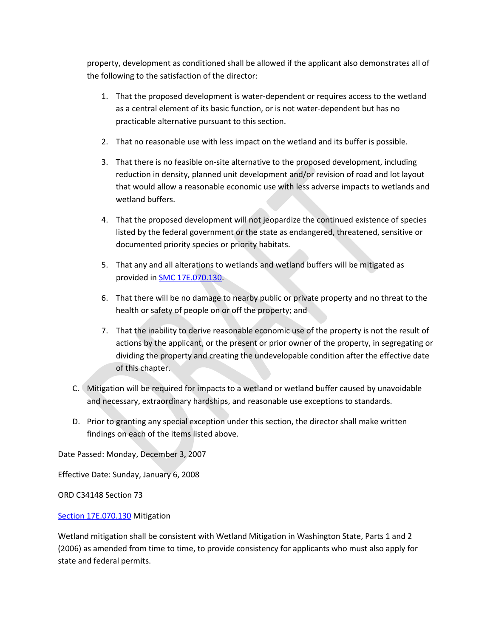property, development as conditioned shall be allowed if the applicant also demonstrates all of the following to the satisfaction of the director:

- 1. That the proposed development is water-dependent or requires access to the wetland as a central element of its basic function, or is not water-dependent but has no practicable alternative pursuant to this section.
- 2. That no reasonable use with less impact on the wetland and its buffer is possible.
- 3. That there is no feasible on-site alternative to the proposed development, including reduction in density, planned unit development and/or revision of road and lot layout that would allow a reasonable economic use with less adverse impacts to wetlands and wetland buffers.
- 4. That the proposed development will not jeopardize the continued existence of species listed by the federal government or the state as endangered, threatened, sensitive or documented priority species or priority habitats.
- 5. That any and all alterations to wetlands and wetland buffers will be mitigated as provided in [SMC 17E.070.130.](https://my.spokanecity.org/smc/?Section=17E.070.040)
- 6. That there will be no damage to nearby public or private property and no threat to the health or safety of people on or off the property; and
- 7. That the inability to derive reasonable economic use of the property is not the result of actions by the applicant, or the present or prior owner of the property, in segregating or dividing the property and creating the undevelopable condition after the effective date of this chapter.
- C. Mitigation will be required for impacts to a wetland or wetland buffer caused by unavoidable and necessary, extraordinary hardships, and reasonable use exceptions to standards.
- D. Prior to granting any special exception under this section, the director shall make written findings on each of the items listed above.

Date Passed: Monday, December 3, 2007

Effective Date: Sunday, January 6, 2008

ORD C34148 Section 73

#### [Section 17E.070.130](https://my.spokanecity.org/smc/?Section=17E.070.130) Mitigation

Wetland mitigation shall be consistent with Wetland Mitigation in Washington State, Parts 1 and 2 (2006) as amended from time to time, to provide consistency for applicants who must also apply for state and federal permits.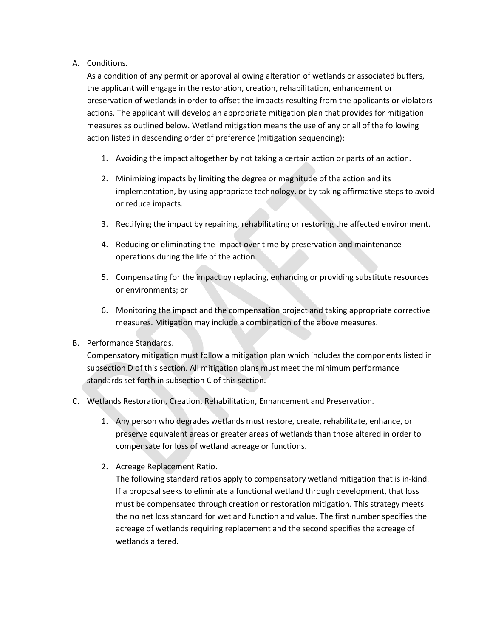## A. Conditions.

As a condition of any permit or approval allowing alteration of wetlands or associated buffers, the applicant will engage in the restoration, creation, rehabilitation, enhancement or preservation of wetlands in order to offset the impacts resulting from the applicants or violators actions. The applicant will develop an appropriate mitigation plan that provides for mitigation measures as outlined below. Wetland mitigation means the use of any or all of the following action listed in descending order of preference (mitigation sequencing):

- 1. Avoiding the impact altogether by not taking a certain action or parts of an action.
- 2. Minimizing impacts by limiting the degree or magnitude of the action and its implementation, by using appropriate technology, or by taking affirmative steps to avoid or reduce impacts.
- 3. Rectifying the impact by repairing, rehabilitating or restoring the affected environment.
- 4. Reducing or eliminating the impact over time by preservation and maintenance operations during the life of the action.
- 5. Compensating for the impact by replacing, enhancing or providing substitute resources or environments; or
- 6. Monitoring the impact and the compensation project and taking appropriate corrective measures. Mitigation may include a combination of the above measures.

## B. Performance Standards.

Compensatory mitigation must follow a mitigation plan which includes the components listed in subsection D of this section. All mitigation plans must meet the minimum performance standards set forth in subsection C of this section.

- C. Wetlands Restoration, Creation, Rehabilitation, Enhancement and Preservation.
	- 1. Any person who degrades wetlands must restore, create, rehabilitate, enhance, or preserve equivalent areas or greater areas of wetlands than those altered in order to compensate for loss of wetland acreage or functions.
	- 2. Acreage Replacement Ratio.

The following standard ratios apply to compensatory wetland mitigation that is in-kind. If a proposal seeks to eliminate a functional wetland through development, that loss must be compensated through creation or restoration mitigation. This strategy meets the no net loss standard for wetland function and value. The first number specifies the acreage of wetlands requiring replacement and the second specifies the acreage of wetlands altered.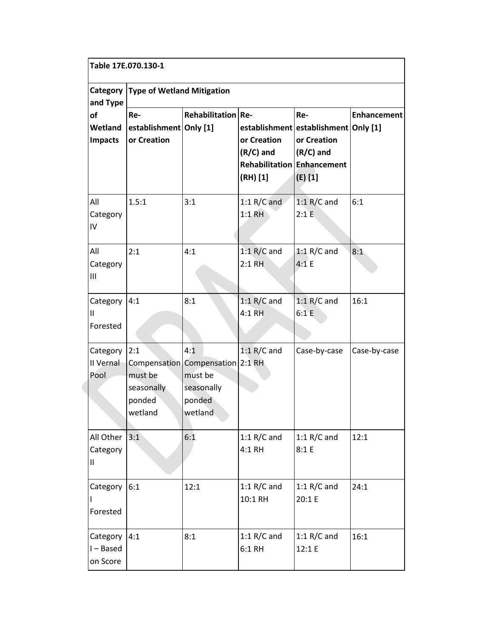| Table 17E.070.130-1                                       |                                                   |                                                                                       |                                                                               |                                                                                      |                    |
|-----------------------------------------------------------|---------------------------------------------------|---------------------------------------------------------------------------------------|-------------------------------------------------------------------------------|--------------------------------------------------------------------------------------|--------------------|
| <b>Type of Wetland Mitigation</b><br>Category<br>and Type |                                                   |                                                                                       |                                                                               |                                                                                      |                    |
| of<br>Wetland<br><b>Impacts</b>                           | Re-<br>establishment Only [1]<br>or Creation      | Rehabilitation Re-                                                                    | or Creation<br>$(R/C)$ and<br><b>Rehabilitation Enhancement</b><br>$(RH)$ [1] | Re-<br>establishment establishment Only [1]<br>or Creation<br>$(R/C)$ and<br>(E) [1] | <b>Enhancement</b> |
| All<br>Category<br>IV                                     | 1.5:1                                             | 3:1                                                                                   | $1:1 R/C$ and<br>$1:1$ RH                                                     | 1:1 $R/C$ and<br>2:1E                                                                | 6:1                |
| All<br>Category<br>Ш                                      | 2:1                                               | 4:1                                                                                   | $1:1 R/C$ and<br>$2:1$ RH                                                     | 1:1 $R/C$ and<br>4:1 E                                                               | 8:1                |
| Category<br>Ш<br>Forested                                 | 4:1                                               | 8:1                                                                                   | 1:1 $R/C$ and<br>4:1 RH                                                       | $1:1 R/C$ and<br>6:1 E                                                               | 16:1               |
| Category<br>II Vernal<br>Pool                             | 2:1<br>must be<br>seasonally<br>ponded<br>wetland | 4:1<br>Compensation Compensation 2:1 RH<br>must be<br>seasonally<br>ponded<br>wetland | $1:1 R/C$ and                                                                 | Case-by-case                                                                         | Case-by-case       |
| All Other<br>Category<br>Ш                                | 3:1                                               | 6:1                                                                                   | 1:1 $R/C$ and<br>4:1 RH                                                       | 1:1 $R/C$ and<br>8:1 E                                                               | 12:1               |
| Category<br>Forested                                      | 6:1                                               | 12:1                                                                                  | 1:1 $R/C$ and<br>10:1 RH                                                      | 1:1 $R/C$ and<br>20:1 E                                                              | 24:1               |
| Category<br>I-Based<br>on Score                           | 4:1                                               | 8:1                                                                                   | 1:1 $R/C$ and<br>$6:1$ RH                                                     | 1:1 $R/C$ and<br>12:1 E                                                              | 16:1               |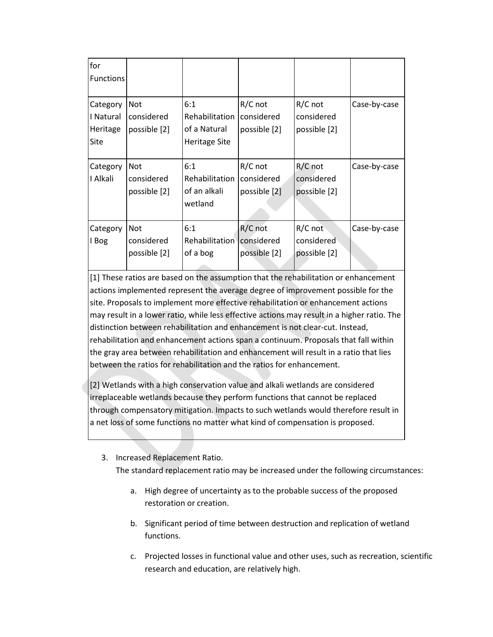| for<br><b>Functions</b>                   |                                          |                                                         |                                         |                                         |              |
|-------------------------------------------|------------------------------------------|---------------------------------------------------------|-----------------------------------------|-----------------------------------------|--------------|
| Category<br>I Natural<br>Heritage<br>Site | <b>Not</b><br>considered<br>possible [2] | 6:1<br>Rehabilitation<br>of a Natural<br>Heritage Site  | $R/C$ not<br>considered<br>possible [2] | $R/C$ not<br>considered<br>possible [2] | Case-by-case |
| Category<br>I Alkali                      | <b>Not</b><br>considered<br>possible [2] | 6:1<br><b>Rehabilitation</b><br>of an alkali<br>wetland | $R/C$ not<br>considered<br>possible [2] | $R/C$ not<br>considered<br>possible [2] | Case-by-case |
| Category<br>I Bog                         | <b>Not</b><br>considered<br>possible [2] | 6:1<br>Rehabilitation<br>of a bog                       | R/C not<br>considered<br>possible [2]   | $R/C$ not<br>considered<br>possible [2] | Case-by-case |

[1] These ratios are based on the assumption that the rehabilitation or enhancement actions implemented represent the average degree of improvement possible for the site. Proposals to implement more effective rehabilitation or enhancement actions may result in a lower ratio, while less effective actions may result in a higher ratio. The distinction between rehabilitation and enhancement is not clear-cut. Instead, rehabilitation and enhancement actions span a continuum. Proposals that fall within the gray area between rehabilitation and enhancement will result in a ratio that lies between the ratios for rehabilitation and the ratios for enhancement.

[2] Wetlands with a high conservation value and alkali wetlands are considered irreplaceable wetlands because they perform functions that cannot be replaced through compensatory mitigation. Impacts to such wetlands would therefore result in a net loss of some functions no matter what kind of compensation is proposed.

#### 3. Increased Replacement Ratio.

The standard replacement ratio may be increased under the following circumstances:

- a. High degree of uncertainty as to the probable success of the proposed restoration or creation.
- b. Significant period of time between destruction and replication of wetland functions.
- c. Projected losses in functional value and other uses, such as recreation, scientific research and education, are relatively high.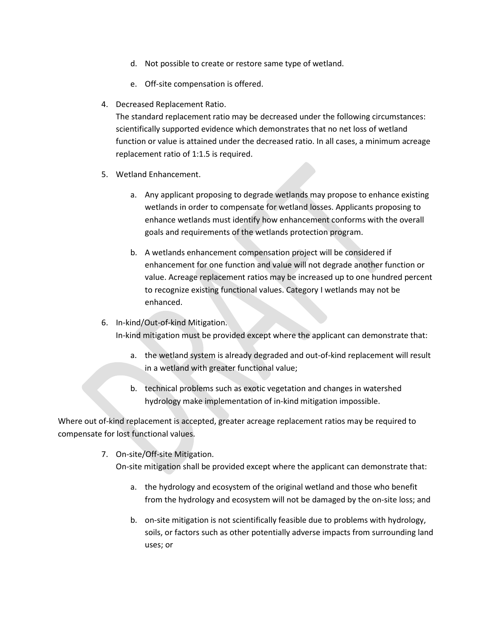- d. Not possible to create or restore same type of wetland.
- e. Off-site compensation is offered.
- 4. Decreased Replacement Ratio.

The standard replacement ratio may be decreased under the following circumstances: scientifically supported evidence which demonstrates that no net loss of wetland function or value is attained under the decreased ratio. In all cases, a minimum acreage replacement ratio of 1:1.5 is required.

- 5. Wetland Enhancement.
	- a. Any applicant proposing to degrade wetlands may propose to enhance existing wetlands in order to compensate for wetland losses. Applicants proposing to enhance wetlands must identify how enhancement conforms with the overall goals and requirements of the wetlands protection program.
	- b. A wetlands enhancement compensation project will be considered if enhancement for one function and value will not degrade another function or value. Acreage replacement ratios may be increased up to one hundred percent to recognize existing functional values. Category I wetlands may not be enhanced.

#### 6. In-kind/Out-of-kind Mitigation.

In-kind mitigation must be provided except where the applicant can demonstrate that:

- a. the wetland system is already degraded and out-of-kind replacement will result in a wetland with greater functional value;
- b. technical problems such as exotic vegetation and changes in watershed hydrology make implementation of in-kind mitigation impossible.

Where out of-kind replacement is accepted, greater acreage replacement ratios may be required to compensate for lost functional values.

7. On-site/Off-site Mitigation.

On-site mitigation shall be provided except where the applicant can demonstrate that:

- a. the hydrology and ecosystem of the original wetland and those who benefit from the hydrology and ecosystem will not be damaged by the on-site loss; and
- b. on-site mitigation is not scientifically feasible due to problems with hydrology, soils, or factors such as other potentially adverse impacts from surrounding land uses; or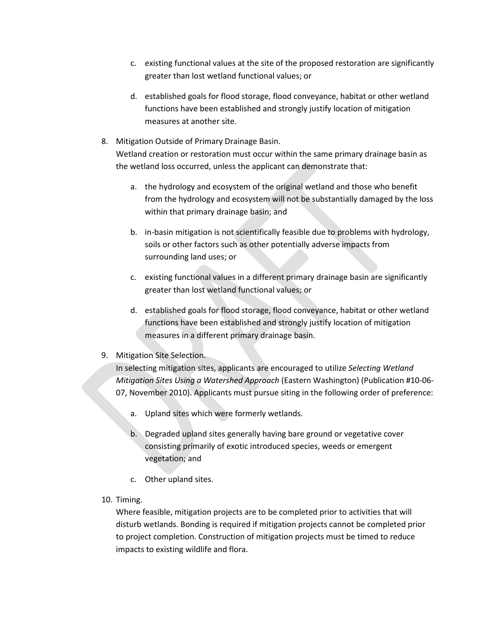- c. existing functional values at the site of the proposed restoration are significantly greater than lost wetland functional values; or
- d. established goals for flood storage, flood conveyance, habitat or other wetland functions have been established and strongly justify location of mitigation measures at another site.
- 8. Mitigation Outside of Primary Drainage Basin.

Wetland creation or restoration must occur within the same primary drainage basin as the wetland loss occurred, unless the applicant can demonstrate that:

- a. the hydrology and ecosystem of the original wetland and those who benefit from the hydrology and ecosystem will not be substantially damaged by the loss within that primary drainage basin; and
- b. in-basin mitigation is not scientifically feasible due to problems with hydrology, soils or other factors such as other potentially adverse impacts from surrounding land uses; or
- c. existing functional values in a different primary drainage basin are significantly greater than lost wetland functional values; or
- d. established goals for flood storage, flood conveyance, habitat or other wetland functions have been established and strongly justify location of mitigation measures in a different primary drainage basin.

## 9. Mitigation Site Selection.

In selecting mitigation sites, applicants are encouraged to utilize *Selecting Wetland Mitigation Sites Using a Watershed Approach* (Eastern Washington) (Publication #10-06- 07, November 2010). Applicants must pursue siting in the following order of preference:

- a. Upland sites which were formerly wetlands.
- b. Degraded upland sites generally having bare ground or vegetative cover consisting primarily of exotic introduced species, weeds or emergent vegetation; and
- c. Other upland sites.
- 10. Timing.

Where feasible, mitigation projects are to be completed prior to activities that will disturb wetlands. Bonding is required if mitigation projects cannot be completed prior to project completion. Construction of mitigation projects must be timed to reduce impacts to existing wildlife and flora.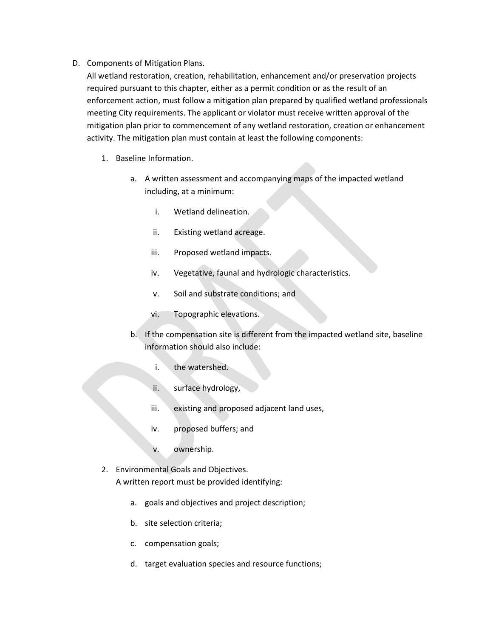### D. Components of Mitigation Plans.

All wetland restoration, creation, rehabilitation, enhancement and/or preservation projects required pursuant to this chapter, either as a permit condition or as the result of an enforcement action, must follow a mitigation plan prepared by qualified wetland professionals meeting City requirements. The applicant or violator must receive written approval of the mitigation plan prior to commencement of any wetland restoration, creation or enhancement activity. The mitigation plan must contain at least the following components:

- 1. Baseline Information.
	- a. A written assessment and accompanying maps of the impacted wetland including, at a minimum:
		- i. Wetland delineation.
		- ii. Existing wetland acreage.
		- iii. Proposed wetland impacts.
		- iv. Vegetative, faunal and hydrologic characteristics.
		- v. Soil and substrate conditions; and
		- vi. Topographic elevations.
	- b. If the compensation site is different from the impacted wetland site, baseline information should also include:
		- i. the watershed.
		- ii. surface hydrology,
		- iii. existing and proposed adjacent land uses,
		- iv. proposed buffers; and
		- v. ownership.
- 2. Environmental Goals and Objectives. A written report must be provided identifying:
	- a. goals and objectives and project description;
	- b. site selection criteria;
	- c. compensation goals;
	- d. target evaluation species and resource functions;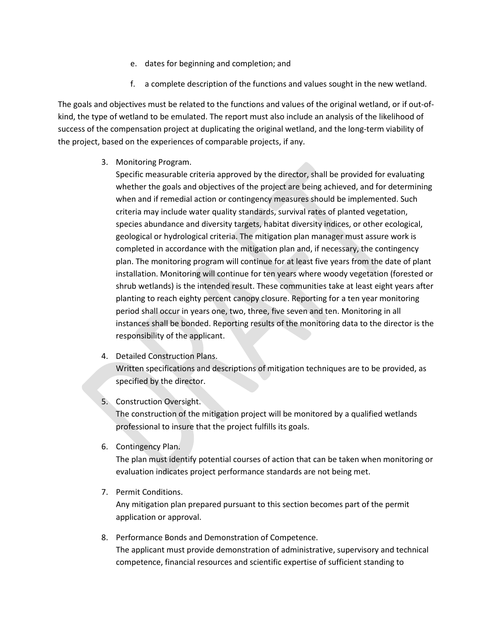- e. dates for beginning and completion; and
- f. a complete description of the functions and values sought in the new wetland.

The goals and objectives must be related to the functions and values of the original wetland, or if out-ofkind, the type of wetland to be emulated. The report must also include an analysis of the likelihood of success of the compensation project at duplicating the original wetland, and the long-term viability of the project, based on the experiences of comparable projects, if any.

3. Monitoring Program.

Specific measurable criteria approved by the director, shall be provided for evaluating whether the goals and objectives of the project are being achieved, and for determining when and if remedial action or contingency measures should be implemented. Such criteria may include water quality standards, survival rates of planted vegetation, species abundance and diversity targets, habitat diversity indices, or other ecological, geological or hydrological criteria. The mitigation plan manager must assure work is completed in accordance with the mitigation plan and, if necessary, the contingency plan. The monitoring program will continue for at least five years from the date of plant installation. Monitoring will continue for ten years where woody vegetation (forested or shrub wetlands) is the intended result. These communities take at least eight years after planting to reach eighty percent canopy closure. Reporting for a ten year monitoring period shall occur in years one, two, three, five seven and ten. Monitoring in all instances shall be bonded. Reporting results of the monitoring data to the director is the responsibility of the applicant.

- 4. Detailed Construction Plans. Written specifications and descriptions of mitigation techniques are to be provided, as specified by the director.
- 5. Construction Oversight.

The construction of the mitigation project will be monitored by a qualified wetlands professional to insure that the project fulfills its goals.

6. Contingency Plan.

The plan must identify potential courses of action that can be taken when monitoring or evaluation indicates project performance standards are not being met.

- 7. Permit Conditions. Any mitigation plan prepared pursuant to this section becomes part of the permit application or approval.
- 8. Performance Bonds and Demonstration of Competence. The applicant must provide demonstration of administrative, supervisory and technical competence, financial resources and scientific expertise of sufficient standing to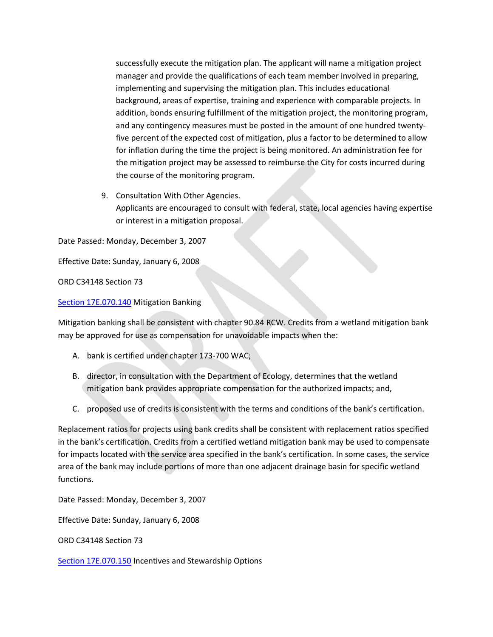successfully execute the mitigation plan. The applicant will name a mitigation project manager and provide the qualifications of each team member involved in preparing, implementing and supervising the mitigation plan. This includes educational background, areas of expertise, training and experience with comparable projects. In addition, bonds ensuring fulfillment of the mitigation project, the monitoring program, and any contingency measures must be posted in the amount of one hundred twentyfive percent of the expected cost of mitigation, plus a factor to be determined to allow for inflation during the time the project is being monitored. An administration fee for the mitigation project may be assessed to reimburse the City for costs incurred during the course of the monitoring program.

9. Consultation With Other Agencies. Applicants are encouraged to consult with federal, state, local agencies having expertise or interest in a mitigation proposal.

Date Passed: Monday, December 3, 2007

Effective Date: Sunday, January 6, 2008

ORD C34148 Section 73

[Section 17E.070.140](https://my.spokanecity.org/smc/?Section=17E.070.140) Mitigation Banking

Mitigation banking shall be consistent with chapter 90.84 RCW. Credits from a wetland mitigation bank may be approved for use as compensation for unavoidable impacts when the:

- A. bank is certified under chapter 173-700 WAC;
- B. director, in consultation with the Department of Ecology, determines that the wetland mitigation bank provides appropriate compensation for the authorized impacts; and,
- C. proposed use of credits is consistent with the terms and conditions of the bank's certification.

Replacement ratios for projects using bank credits shall be consistent with replacement ratios specified in the bank's certification. Credits from a certified wetland mitigation bank may be used to compensate for impacts located with the service area specified in the bank's certification. In some cases, the service area of the bank may include portions of more than one adjacent drainage basin for specific wetland functions.

Date Passed: Monday, December 3, 2007

Effective Date: Sunday, January 6, 2008

ORD C34148 Section 73

[Section 17E.070.150](https://my.spokanecity.org/smc/?Section=17E.070.150) Incentives and Stewardship Options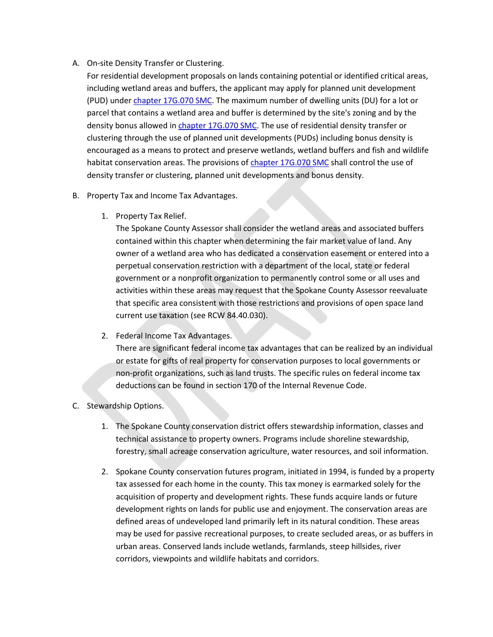- A. On-site Density Transfer or Clustering.
	- For residential development proposals on lands containing potential or identified critical areas, including wetland areas and buffers, the applicant may apply for planned unit development (PUD) under [chapter 17G.070 SMC.](https://my.spokanecity.org/smc/?Chapter=17G.070) The maximum number of dwelling units (DU) for a lot or parcel that contains a wetland area and buffer is determined by the site's zoning and by the density bonus allowed i[n chapter 17G.070 SMC.](https://my.spokanecity.org/smc/?Chapter=17G.070) The use of residential density transfer or clustering through the use of planned unit developments (PUDs) including bonus density is encouraged as a means to protect and preserve wetlands, wetland buffers and fish and wildlife habitat conservation areas. The provisions of [chapter 17G.070 SMC](https://my.spokanecity.org/smc/?Chapter=17G.070) shall control the use of density transfer or clustering, planned unit developments and bonus density.
- B. Property Tax and Income Tax Advantages.
	- 1. Property Tax Relief.

The Spokane County Assessor shall consider the wetland areas and associated buffers contained within this chapter when determining the fair market value of land. Any owner of a wetland area who has dedicated a conservation easement or entered into a perpetual conservation restriction with a department of the local, state or federal government or a nonprofit organization to permanently control some or all uses and activities within these areas may request that the Spokane County Assessor reevaluate that specific area consistent with those restrictions and provisions of open space land current use taxation (see RCW 84.40.030).

2. Federal Income Tax Advantages.

There are significant federal income tax advantages that can be realized by an individual or estate for gifts of real property for conservation purposes to local governments or non-profit organizations, such as land trusts. The specific rules on federal income tax deductions can be found in section 170 of the Internal Revenue Code.

## C. Stewardship Options.

- 1. The Spokane County conservation district offers stewardship information, classes and technical assistance to property owners. Programs include shoreline stewardship, forestry, small acreage conservation agriculture, water resources, and soil information.
- 2. Spokane County conservation futures program, initiated in 1994, is funded by a property tax assessed for each home in the county. This tax money is earmarked solely for the acquisition of property and development rights. These funds acquire lands or future development rights on lands for public use and enjoyment. The conservation areas are defined areas of undeveloped land primarily left in its natural condition. These areas may be used for passive recreational purposes, to create secluded areas, or as buffers in urban areas. Conserved lands include wetlands, farmlands, steep hillsides, river corridors, viewpoints and wildlife habitats and corridors.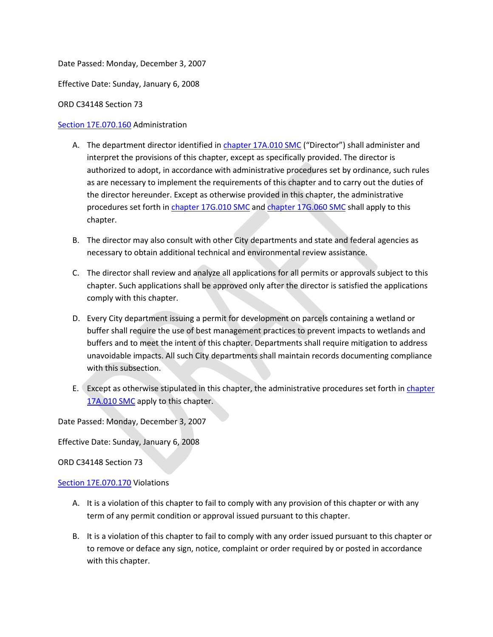Date Passed: Monday, December 3, 2007

Effective Date: Sunday, January 6, 2008

ORD C34148 Section 73

### [Section 17E.070.160](https://my.spokanecity.org/smc/?Section=17E.070.160) Administration

- A. The department director identified i[n chapter 17A.010 SMC](https://my.spokanecity.org/smc/?Chapter=17A.010) ("Director") shall administer and interpret the provisions of this chapter, except as specifically provided. The director is authorized to adopt, in accordance with administrative procedures set by ordinance, such rules as are necessary to implement the requirements of this chapter and to carry out the duties of the director hereunder. Except as otherwise provided in this chapter, the administrative procedures set forth in [chapter 17G.010 SMC](https://my.spokanecity.org/smc/?Chapter=17G.010) and [chapter 17G.060 SMC](https://my.spokanecity.org/smc/?Chapter=17G.010) shall apply to this chapter.
- B. The director may also consult with other City departments and state and federal agencies as necessary to obtain additional technical and environmental review assistance.
- C. The director shall review and analyze all applications for all permits or approvals subject to this chapter. Such applications shall be approved only after the director is satisfied the applications comply with this chapter.
- D. Every City department issuing a permit for development on parcels containing a wetland or buffer shall require the use of best management practices to prevent impacts to wetlands and buffers and to meet the intent of this chapter. Departments shall require mitigation to address unavoidable impacts. All such City departments shall maintain records documenting compliance with this subsection.
- E. Except as otherwise stipulated in this chapter, the administrative procedures set forth in chapter [17A.010 SMC](https://my.spokanecity.org/smc/?Chapter=17A.010) apply to this chapter.

Date Passed: Monday, December 3, 2007

Effective Date: Sunday, January 6, 2008

ORD C34148 Section 73

#### [Section 17E.070.170](https://my.spokanecity.org/smc/?Section=17E.070.170) Violations

- A. It is a violation of this chapter to fail to comply with any provision of this chapter or with any term of any permit condition or approval issued pursuant to this chapter.
- B. It is a violation of this chapter to fail to comply with any order issued pursuant to this chapter or to remove or deface any sign, notice, complaint or order required by or posted in accordance with this chapter.